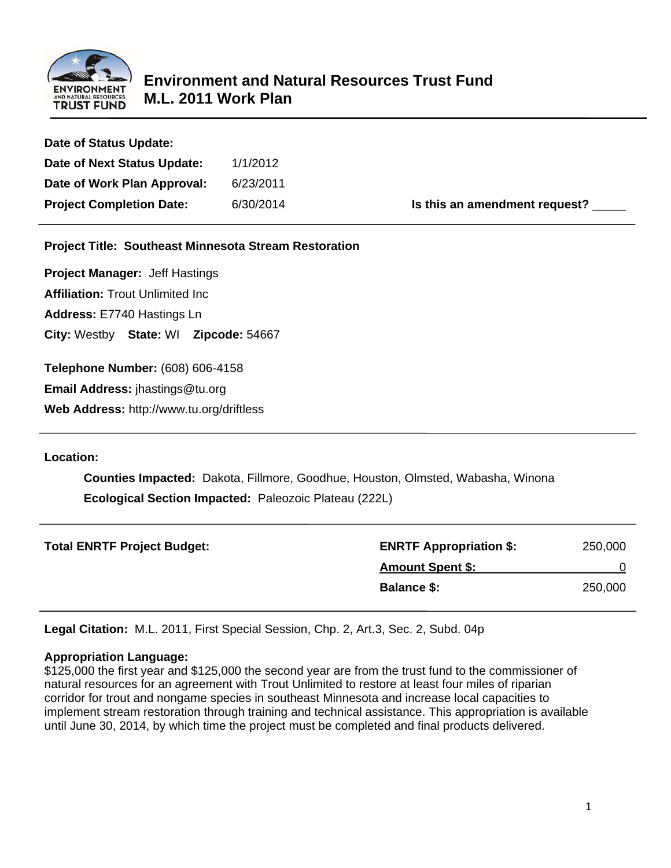

| Date of Status Update:                                       |           |                               |  |  |  |  |  |  |
|--------------------------------------------------------------|-----------|-------------------------------|--|--|--|--|--|--|
| Date of Next Status Update:                                  | 1/1/2012  |                               |  |  |  |  |  |  |
| Date of Work Plan Approval:                                  | 6/23/2011 |                               |  |  |  |  |  |  |
| <b>Project Completion Date:</b>                              | 6/30/2014 | Is this an amendment request? |  |  |  |  |  |  |
| <b>Project Title: Southeast Minnesota Stream Restoration</b> |           |                               |  |  |  |  |  |  |
| <b>Project Manager: Jeff Hastings</b>                        |           |                               |  |  |  |  |  |  |
| <b>Affiliation: Trout Unlimited Inc.</b>                     |           |                               |  |  |  |  |  |  |
| Address: E7740 Hastings Ln                                   |           |                               |  |  |  |  |  |  |

**City:** Westby **State:** WI **Zipcode:** 54667

**Telephone Number:** (608) 606-4158

**Email Address:** jhastings@tu.org

**Web Address:** http://www.tu.org/driftless

### **Location:**

 **Counties Impacted:** Dakota, Fillmore, Goodhue, Houston, Olmsted, Wabasha, Winona  **Ecological Section Impacted:** Paleozoic Plateau (222L)

| <b>Total ENRTF Project Budget:</b> | <b>ENRTF Appropriation \$:</b> | 250,000 |
|------------------------------------|--------------------------------|---------|
|                                    | <b>Amount Spent \$:</b>        |         |
|                                    | <b>Balance \$:</b>             | 250,000 |

**Legal Citation:** M.L. 2011, First Special Session, Chp. 2, Art.3, Sec. 2, Subd. 04p

### **Appropriation Language:**

\$125,000 the first year and \$125,000 the second year are from the trust fund to the commissioner of natural resources for an agreement with Trout Unlimited to restore at least four miles of riparian corridor for trout and nongame species in southeast Minnesota and increase local capacities to implement stream restoration through training and technical assistance. This appropriation is available until June 30, 2014, by which time the project must be completed and final products delivered.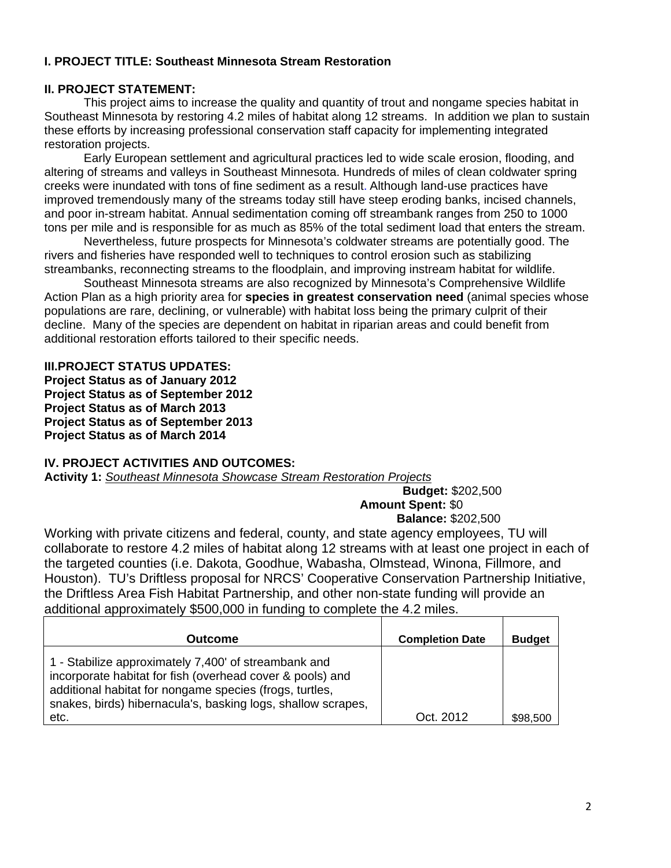## **I. PROJECT TITLE: Southeast Minnesota Stream Restoration**

## **II. PROJECT STATEMENT:**

 This project aims to increase the quality and quantity of trout and nongame species habitat in Southeast Minnesota by restoring 4.2 miles of habitat along 12 streams. In addition we plan to sustain these efforts by increasing professional conservation staff capacity for implementing integrated restoration projects.

 Early European settlement and agricultural practices led to wide scale erosion, flooding, and altering of streams and valleys in Southeast Minnesota. Hundreds of miles of clean coldwater spring creeks were inundated with tons of fine sediment as a result. Although land-use practices have improved tremendously many of the streams today still have steep eroding banks, incised channels, and poor in-stream habitat. Annual sedimentation coming off streambank ranges from 250 to 1000 tons per mile and is responsible for as much as 85% of the total sediment load that enters the stream.

 Nevertheless, future prospects for Minnesota's coldwater streams are potentially good. The rivers and fisheries have responded well to techniques to control erosion such as stabilizing streambanks, reconnecting streams to the floodplain, and improving instream habitat for wildlife.

 Southeast Minnesota streams are also recognized by Minnesota's Comprehensive Wildlife Action Plan as a high priority area for **species in greatest conservation need** (animal species whose populations are rare, declining, or vulnerable) with habitat loss being the primary culprit of their decline. Many of the species are dependent on habitat in riparian areas and could benefit from additional restoration efforts tailored to their specific needs.

#### **III.PROJECT STATUS UPDATES:**

**Project Status as of January 2012 Project Status as of September 2012 Project Status as of March 2013 Project Status as of September 2013 Project Status as of March 2014** 

### **IV. PROJECT ACTIVITIES AND OUTCOMES:**

**Activity 1:** *Southeast Minnesota Showcase Stream Restoration Projects* 

 **Budget:** \$202,500 **Amount Spent:** \$0  **Balance:** \$202,500

Working with private citizens and federal, county, and state agency employees, TU will collaborate to restore 4.2 miles of habitat along 12 streams with at least one project in each of the targeted counties (i.e. Dakota, Goodhue, Wabasha, Olmstead, Winona, Fillmore, and Houston). TU's Driftless proposal for NRCS' Cooperative Conservation Partnership Initiative, the Driftless Area Fish Habitat Partnership, and other non-state funding will provide an additional approximately \$500,000 in funding to complete the 4.2 miles.

| Outcome                                                                                                                                                                                                                                              | <b>Completion Date</b> | <b>Budget</b> |
|------------------------------------------------------------------------------------------------------------------------------------------------------------------------------------------------------------------------------------------------------|------------------------|---------------|
| 1 - Stabilize approximately 7,400' of streambank and<br>incorporate habitat for fish (overhead cover & pools) and<br>additional habitat for nongame species (frogs, turtles,<br>snakes, birds) hibernacula's, basking logs, shallow scrapes,<br>etc. | Oct. 2012              | \$98,500      |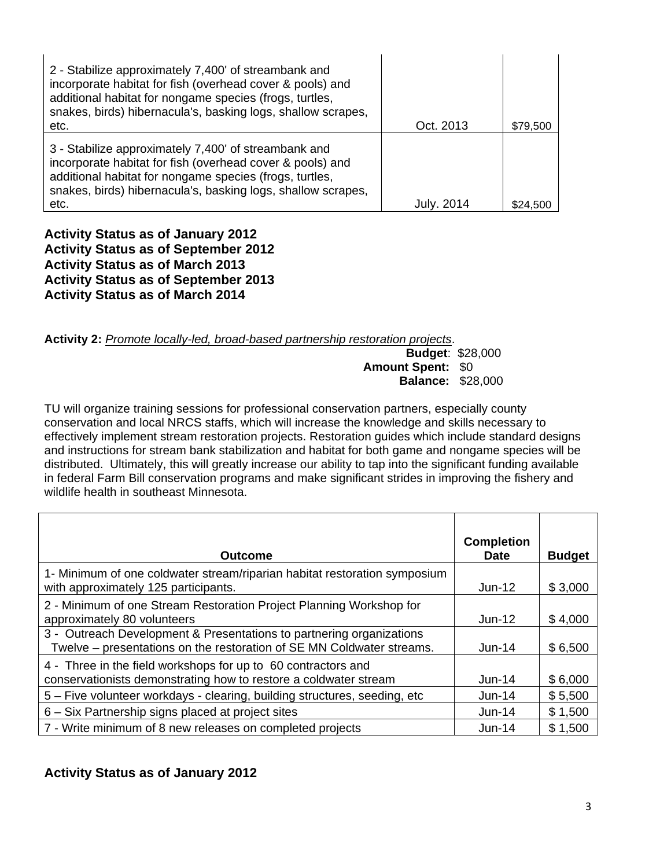| 2 - Stabilize approximately 7,400' of streambank and<br>incorporate habitat for fish (overhead cover & pools) and<br>additional habitat for nongame species (frogs, turtles,<br>snakes, birds) hibernacula's, basking logs, shallow scrapes,<br>etc. | Oct. 2013  | \$79,500 |
|------------------------------------------------------------------------------------------------------------------------------------------------------------------------------------------------------------------------------------------------------|------------|----------|
| 3 - Stabilize approximately 7,400' of streambank and<br>incorporate habitat for fish (overhead cover & pools) and<br>additional habitat for nongame species (frogs, turtles,<br>snakes, birds) hibernacula's, basking logs, shallow scrapes,<br>etc. | July. 2014 | \$24.500 |

**Activity Status as of January 2012 Activity Status as of September 2012 Activity Status as of March 2013 Activity Status as of September 2013 Activity Status as of March 2014** 

**Activity 2:** *Promote locally-led, broad-based partnership restoration projects*.

 **Budget**: \$28,000  **Amount Spent:** \$0  **Balance:** \$28,000

TU will organize training sessions for professional conservation partners, especially county conservation and local NRCS staffs, which will increase the knowledge and skills necessary to effectively implement stream restoration projects. Restoration guides which include standard designs and instructions for stream bank stabilization and habitat for both game and nongame species will be distributed. Ultimately, this will greatly increase our ability to tap into the significant funding available in federal Farm Bill conservation programs and make significant strides in improving the fishery and wildlife health in southeast Minnesota.

| <b>Outcome</b>                                                                                                                                | <b>Completion</b><br><b>Date</b> | <b>Budget</b> |
|-----------------------------------------------------------------------------------------------------------------------------------------------|----------------------------------|---------------|
| 1- Minimum of one coldwater stream/riparian habitat restoration symposium<br>with approximately 125 participants.                             | $Jun-12$                         | \$3,000       |
| 2 - Minimum of one Stream Restoration Project Planning Workshop for<br>approximately 80 volunteers                                            | $Jun-12$                         | \$4,000       |
| 3 - Outreach Development & Presentations to partnering organizations<br>Twelve - presentations on the restoration of SE MN Coldwater streams. | $Jun-14$                         | \$6,500       |
| 4 - Three in the field workshops for up to 60 contractors and<br>conservationists demonstrating how to restore a coldwater stream             | $Jun-14$                         | \$6,000       |
| 5 – Five volunteer workdays - clearing, building structures, seeding, etc                                                                     | $Jun-14$                         | \$5,500       |
| 6 – Six Partnership signs placed at project sites                                                                                             | $Jun-14$                         | \$1,500       |
| 7 - Write minimum of 8 new releases on completed projects                                                                                     | $Jun-14$                         | \$1,500       |

## **Activity Status as of January 2012**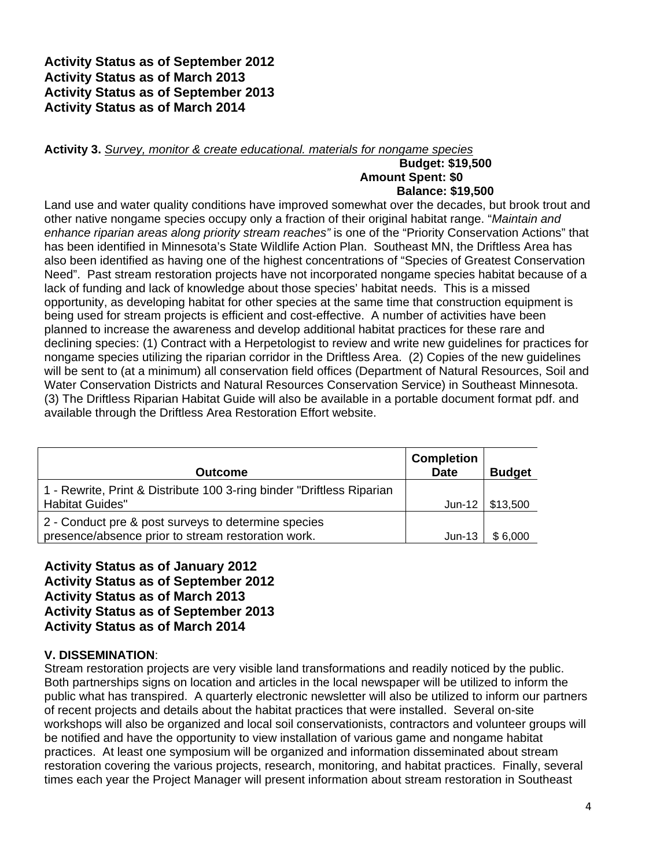**Activity Status as of September 2012 Activity Status as of March 2013 Activity Status as of September 2013 Activity Status as of March 2014** 

**Activity 3.** *Survey, monitor & create educational. materials for nongame species* 

#### **Budget: \$19,500 Amount Spent: \$0 Balance: \$19,500**

Land use and water quality conditions have improved somewhat over the decades, but brook trout and other native nongame species occupy only a fraction of their original habitat range. "*Maintain and enhance riparian areas along priority stream reaches"* is one of the "Priority Conservation Actions" that has been identified in Minnesota's State Wildlife Action Plan. Southeast MN, the Driftless Area has also been identified as having one of the highest concentrations of "Species of Greatest Conservation Need". Past stream restoration projects have not incorporated nongame species habitat because of a lack of funding and lack of knowledge about those species' habitat needs. This is a missed opportunity, as developing habitat for other species at the same time that construction equipment is being used for stream projects is efficient and cost-effective. A number of activities have been planned to increase the awareness and develop additional habitat practices for these rare and declining species: (1) Contract with a Herpetologist to review and write new guidelines for practices for nongame species utilizing the riparian corridor in the Driftless Area. (2) Copies of the new guidelines will be sent to (at a minimum) all conservation field offices (Department of Natural Resources, Soil and Water Conservation Districts and Natural Resources Conservation Service) in Southeast Minnesota. (3) The Driftless Riparian Habitat Guide will also be available in a portable document format pdf. and available through the Driftless Area Restoration Effort website.

| <b>Outcome</b>                                                                                            | <b>Completion</b><br><b>Date</b> | <b>Budget</b> |
|-----------------------------------------------------------------------------------------------------------|----------------------------------|---------------|
| 1 - Rewrite, Print & Distribute 100 3-ring binder "Driftless Riparian<br><b>Habitat Guides"</b>           | $Jun-12$                         | \$13,500      |
| 2 - Conduct pre & post surveys to determine species<br>presence/absence prior to stream restoration work. | $Jun-13$                         | \$6,000       |

**Activity Status as of January 2012 Activity Status as of September 2012 Activity Status as of March 2013 Activity Status as of September 2013 Activity Status as of March 2014** 

## **V. DISSEMINATION**:

Stream restoration projects are very visible land transformations and readily noticed by the public. Both partnerships signs on location and articles in the local newspaper will be utilized to inform the public what has transpired. A quarterly electronic newsletter will also be utilized to inform our partners of recent projects and details about the habitat practices that were installed. Several on-site workshops will also be organized and local soil conservationists, contractors and volunteer groups will be notified and have the opportunity to view installation of various game and nongame habitat practices. At least one symposium will be organized and information disseminated about stream restoration covering the various projects, research, monitoring, and habitat practices. Finally, several times each year the Project Manager will present information about stream restoration in Southeast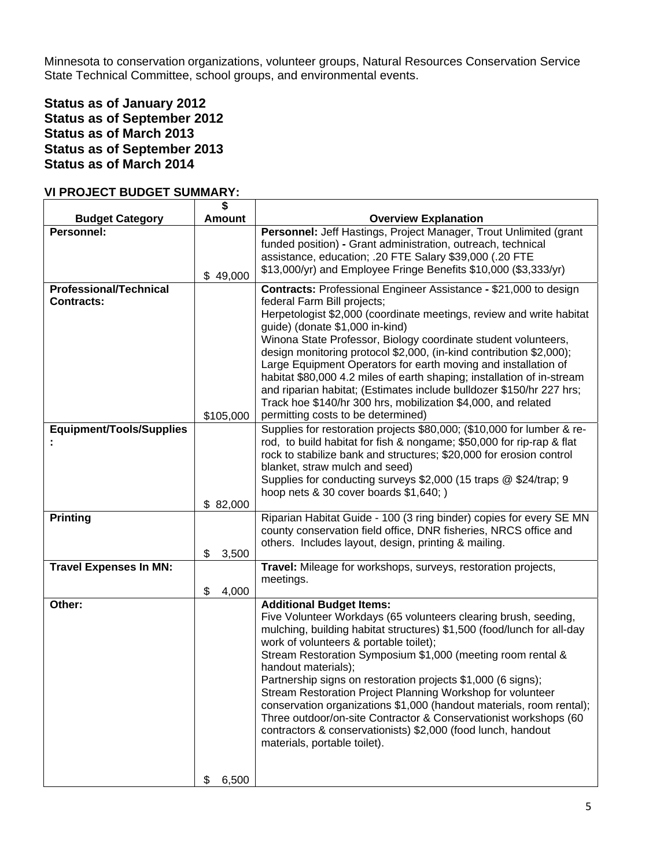Minnesota to conservation organizations, volunteer groups, Natural Resources Conservation Service State Technical Committee, school groups, and environmental events.

## **Status as of January 2012 Status as of September 2012 Status as of March 2013 Status as of September 2013 Status as of March 2014**

### **VI PROJECT BUDGET SUMMARY:**

|                                                    | \$            |                                                                                                                                                                                                                                                                                                                                                                                                                                                                                                                                                                                                                                                                                        |
|----------------------------------------------------|---------------|----------------------------------------------------------------------------------------------------------------------------------------------------------------------------------------------------------------------------------------------------------------------------------------------------------------------------------------------------------------------------------------------------------------------------------------------------------------------------------------------------------------------------------------------------------------------------------------------------------------------------------------------------------------------------------------|
| <b>Budget Category</b>                             | <b>Amount</b> | <b>Overview Explanation</b>                                                                                                                                                                                                                                                                                                                                                                                                                                                                                                                                                                                                                                                            |
| <b>Personnel:</b>                                  | \$49,000      | Personnel: Jeff Hastings, Project Manager, Trout Unlimited (grant<br>funded position) - Grant administration, outreach, technical<br>assistance, education; .20 FTE Salary \$39,000 (.20 FTE<br>\$13,000/yr) and Employee Fringe Benefits \$10,000 (\$3,333/yr)                                                                                                                                                                                                                                                                                                                                                                                                                        |
| <b>Professional/Technical</b><br><b>Contracts:</b> | \$105,000     | Contracts: Professional Engineer Assistance - \$21,000 to design<br>federal Farm Bill projects;<br>Herpetologist \$2,000 (coordinate meetings, review and write habitat<br>guide) (donate \$1,000 in-kind)<br>Winona State Professor, Biology coordinate student volunteers,<br>design monitoring protocol \$2,000, (in-kind contribution \$2,000);<br>Large Equipment Operators for earth moving and installation of<br>habitat \$80,000 4.2 miles of earth shaping; installation of in-stream<br>and riparian habitat; (Estimates include bulldozer \$150/hr 227 hrs;<br>Track hoe \$140/hr 300 hrs, mobilization \$4,000, and related<br>permitting costs to be determined)         |
| Equipment/Tools/Supplies                           | \$82,000      | Supplies for restoration projects \$80,000; (\$10,000 for lumber & re-<br>rod, to build habitat for fish & nongame; \$50,000 for rip-rap & flat<br>rock to stabilize bank and structures; \$20,000 for erosion control<br>blanket, straw mulch and seed)<br>Supplies for conducting surveys \$2,000 (15 traps @ \$24/trap; 9<br>hoop nets & 30 cover boards \$1,640; )                                                                                                                                                                                                                                                                                                                 |
| <b>Printing</b>                                    | \$<br>3,500   | Riparian Habitat Guide - 100 (3 ring binder) copies for every SE MN<br>county conservation field office, DNR fisheries, NRCS office and<br>others. Includes layout, design, printing & mailing.                                                                                                                                                                                                                                                                                                                                                                                                                                                                                        |
| <b>Travel Expenses In MN:</b>                      | \$<br>4,000   | Travel: Mileage for workshops, surveys, restoration projects,<br>meetings.                                                                                                                                                                                                                                                                                                                                                                                                                                                                                                                                                                                                             |
| Other:                                             |               | <b>Additional Budget Items:</b><br>Five Volunteer Workdays (65 volunteers clearing brush, seeding,<br>mulching, building habitat structures) \$1,500 (food/lunch for all-day<br>work of volunteers & portable toilet);<br>Stream Restoration Symposium \$1,000 (meeting room rental &<br>handout materials);<br>Partnership signs on restoration projects \$1,000 (6 signs);<br>Stream Restoration Project Planning Workshop for volunteer<br>conservation organizations \$1,000 (handout materials, room rental);<br>Three outdoor/on-site Contractor & Conservationist workshops (60<br>contractors & conservationists) \$2,000 (food lunch, handout<br>materials, portable toilet). |
|                                                    | 6,500<br>\$   |                                                                                                                                                                                                                                                                                                                                                                                                                                                                                                                                                                                                                                                                                        |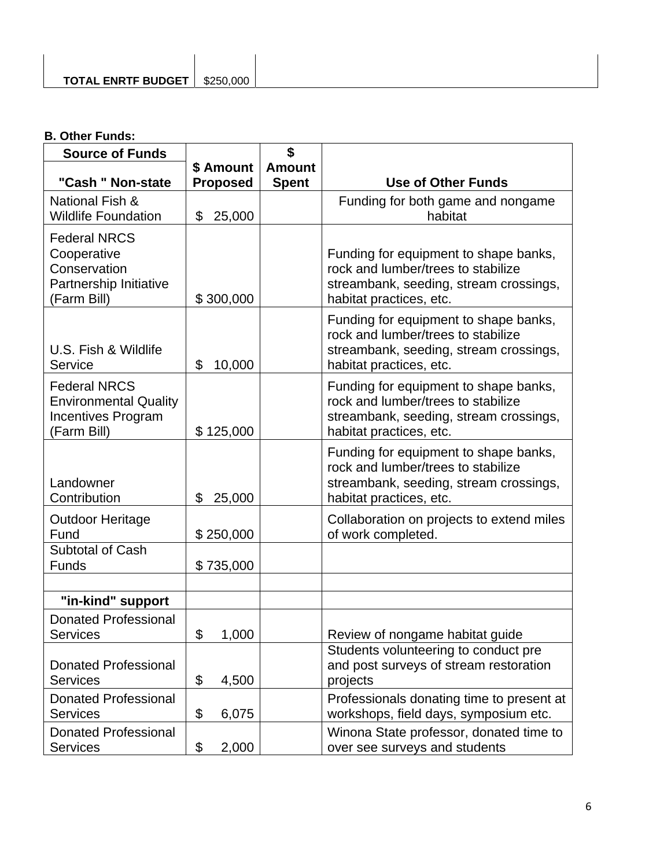## **B. Other Funds:**

| <b>Source of Funds</b>                                                                          | \$              |               |                                                                                                                                                  |  |  |  |
|-------------------------------------------------------------------------------------------------|-----------------|---------------|--------------------------------------------------------------------------------------------------------------------------------------------------|--|--|--|
|                                                                                                 | \$ Amount       | <b>Amount</b> |                                                                                                                                                  |  |  |  |
| "Cash " Non-state                                                                               | <b>Proposed</b> | <b>Spent</b>  | <b>Use of Other Funds</b>                                                                                                                        |  |  |  |
| National Fish &<br><b>Wildlife Foundation</b>                                                   | \$<br>25,000    |               | Funding for both game and nongame<br>habitat                                                                                                     |  |  |  |
| <b>Federal NRCS</b><br>Cooperative<br>Conservation<br>Partnership Initiative<br>(Farm Bill)     | \$300,000       |               | Funding for equipment to shape banks,<br>rock and lumber/trees to stabilize<br>streambank, seeding, stream crossings,<br>habitat practices, etc. |  |  |  |
| U.S. Fish & Wildlife<br>Service                                                                 | 10,000<br>\$    |               | Funding for equipment to shape banks,<br>rock and lumber/trees to stabilize<br>streambank, seeding, stream crossings,<br>habitat practices, etc. |  |  |  |
| <b>Federal NRCS</b><br><b>Environmental Quality</b><br><b>Incentives Program</b><br>(Farm Bill) | \$125,000       |               | Funding for equipment to shape banks,<br>rock and lumber/trees to stabilize<br>streambank, seeding, stream crossings,<br>habitat practices, etc. |  |  |  |
| Landowner<br>Contribution                                                                       | \$<br>25,000    |               | Funding for equipment to shape banks,<br>rock and lumber/trees to stabilize<br>streambank, seeding, stream crossings,<br>habitat practices, etc. |  |  |  |
| <b>Outdoor Heritage</b><br>Fund                                                                 | \$250,000       |               | Collaboration on projects to extend miles<br>of work completed.                                                                                  |  |  |  |
| Subtotal of Cash<br><b>Funds</b>                                                                | \$735,000       |               |                                                                                                                                                  |  |  |  |
|                                                                                                 |                 |               |                                                                                                                                                  |  |  |  |
| "in-kind" support                                                                               |                 |               |                                                                                                                                                  |  |  |  |
| <b>Donated Professional</b><br>Services                                                         | \$<br>1,000     |               | Review of nongame habitat guide                                                                                                                  |  |  |  |
| <b>Donated Professional</b><br><b>Services</b>                                                  | \$<br>4,500     |               | Students volunteering to conduct pre<br>and post surveys of stream restoration<br>projects                                                       |  |  |  |
| <b>Donated Professional</b><br><b>Services</b>                                                  | \$<br>6,075     |               | Professionals donating time to present at<br>workshops, field days, symposium etc.                                                               |  |  |  |
| <b>Donated Professional</b><br><b>Services</b>                                                  | \$<br>2,000     |               | Winona State professor, donated time to<br>over see surveys and students                                                                         |  |  |  |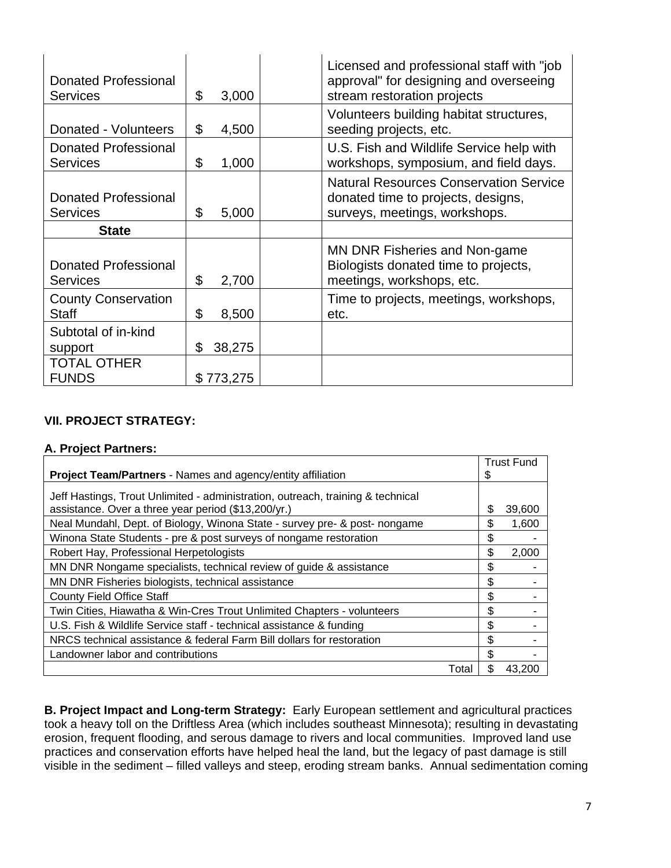| <b>Donated Professional</b><br><b>Services</b> | \$<br>3,000  | Licensed and professional staff with "job"<br>approval" for designing and overseeing<br>stream restoration projects  |
|------------------------------------------------|--------------|----------------------------------------------------------------------------------------------------------------------|
| Donated - Volunteers                           | \$<br>4,500  | Volunteers building habitat structures,<br>seeding projects, etc.                                                    |
| Donated Professional<br><b>Services</b>        | \$<br>1,000  | U.S. Fish and Wildlife Service help with<br>workshops, symposium, and field days.                                    |
| Donated Professional<br><b>Services</b>        | \$<br>5,000  | <b>Natural Resources Conservation Service</b><br>donated time to projects, designs,<br>surveys, meetings, workshops. |
| <b>State</b>                                   |              |                                                                                                                      |
| Donated Professional                           |              | MN DNR Fisheries and Non-game                                                                                        |
| <b>Services</b>                                | \$<br>2,700  | Biologists donated time to projects,<br>meetings, workshops, etc.                                                    |
| <b>County Conservation</b><br><b>Staff</b>     | \$<br>8,500  | Time to projects, meetings, workshops,<br>etc.                                                                       |
| Subtotal of in-kind<br>support                 | \$<br>38,275 |                                                                                                                      |

## **VII. PROJECT STRATEGY:**

### **A. Project Partners:**

|                                                                                                                                        | <b>Trust Fund</b> |
|----------------------------------------------------------------------------------------------------------------------------------------|-------------------|
| Project Team/Partners - Names and agency/entity affiliation                                                                            | \$                |
| Jeff Hastings, Trout Unlimited - administration, outreach, training & technical<br>assistance. Over a three year period (\$13,200/yr.) | \$<br>39,600      |
| Neal Mundahl, Dept. of Biology, Winona State - survey pre- & post- nongame                                                             | \$<br>1,600       |
| Winona State Students - pre & post surveys of nongame restoration                                                                      | \$                |
| Robert Hay, Professional Herpetologists                                                                                                | \$<br>2,000       |
| MN DNR Nongame specialists, technical review of guide & assistance                                                                     | \$                |
| MN DNR Fisheries biologists, technical assistance                                                                                      | \$                |
| <b>County Field Office Staff</b>                                                                                                       | \$                |
| Twin Cities, Hiawatha & Win-Cres Trout Unlimited Chapters - volunteers                                                                 | \$                |
| U.S. Fish & Wildlife Service staff - technical assistance & funding                                                                    | \$                |
| NRCS technical assistance & federal Farm Bill dollars for restoration                                                                  | \$                |
| Landowner labor and contributions                                                                                                      | \$                |
| Total                                                                                                                                  | \$<br>43.200      |

**B. Project Impact and Long-term Strategy:** Early European settlement and agricultural practices took a heavy toll on the Driftless Area (which includes southeast Minnesota); resulting in devastating erosion, frequent flooding, and serous damage to rivers and local communities. Improved land use practices and conservation efforts have helped heal the land, but the legacy of past damage is still visible in the sediment – filled valleys and steep, eroding stream banks. Annual sedimentation coming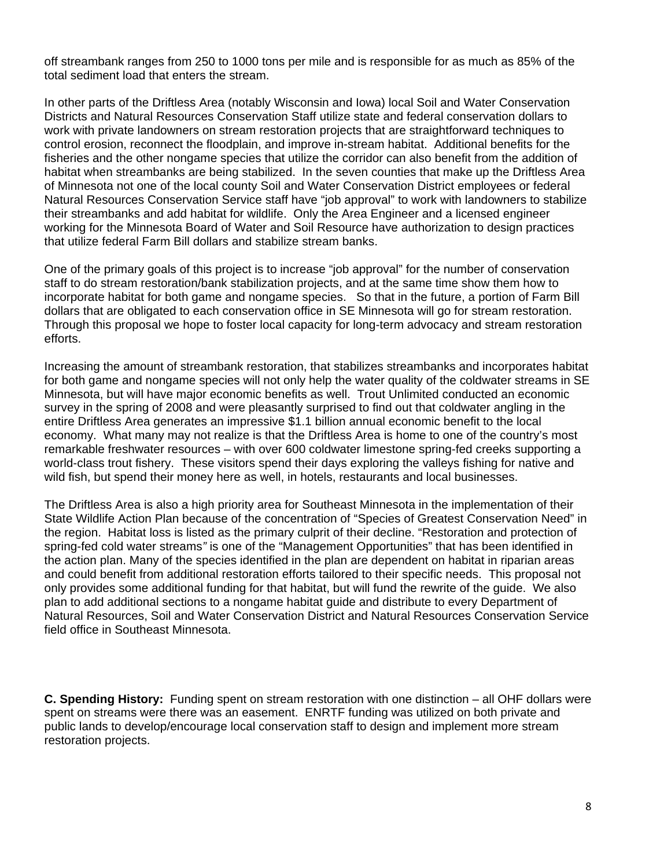off streambank ranges from 250 to 1000 tons per mile and is responsible for as much as 85% of the total sediment load that enters the stream.

In other parts of the Driftless Area (notably Wisconsin and Iowa) local Soil and Water Conservation Districts and Natural Resources Conservation Staff utilize state and federal conservation dollars to work with private landowners on stream restoration projects that are straightforward techniques to control erosion, reconnect the floodplain, and improve in-stream habitat. Additional benefits for the fisheries and the other nongame species that utilize the corridor can also benefit from the addition of habitat when streambanks are being stabilized. In the seven counties that make up the Driftless Area of Minnesota not one of the local county Soil and Water Conservation District employees or federal Natural Resources Conservation Service staff have "job approval" to work with landowners to stabilize their streambanks and add habitat for wildlife. Only the Area Engineer and a licensed engineer working for the Minnesota Board of Water and Soil Resource have authorization to design practices that utilize federal Farm Bill dollars and stabilize stream banks.

One of the primary goals of this project is to increase "job approval" for the number of conservation staff to do stream restoration/bank stabilization projects, and at the same time show them how to incorporate habitat for both game and nongame species. So that in the future, a portion of Farm Bill dollars that are obligated to each conservation office in SE Minnesota will go for stream restoration. Through this proposal we hope to foster local capacity for long-term advocacy and stream restoration efforts.

Increasing the amount of streambank restoration, that stabilizes streambanks and incorporates habitat for both game and nongame species will not only help the water quality of the coldwater streams in SE Minnesota, but will have major economic benefits as well. Trout Unlimited conducted an economic survey in the spring of 2008 and were pleasantly surprised to find out that coldwater angling in the entire Driftless Area generates an impressive \$1.1 billion annual economic benefit to the local economy. What many may not realize is that the Driftless Area is home to one of the country's most remarkable freshwater resources – with over 600 coldwater limestone spring-fed creeks supporting a world-class trout fishery. These visitors spend their days exploring the valleys fishing for native and wild fish, but spend their money here as well, in hotels, restaurants and local businesses.

The Driftless Area is also a high priority area for Southeast Minnesota in the implementation of their State Wildlife Action Plan because of the concentration of "Species of Greatest Conservation Need" in the region. Habitat loss is listed as the primary culprit of their decline. "Restoration and protection of spring-fed cold water streams*"* is one of the "Management Opportunities" that has been identified in the action plan. Many of the species identified in the plan are dependent on habitat in riparian areas and could benefit from additional restoration efforts tailored to their specific needs. This proposal not only provides some additional funding for that habitat, but will fund the rewrite of the guide. We also plan to add additional sections to a nongame habitat guide and distribute to every Department of Natural Resources, Soil and Water Conservation District and Natural Resources Conservation Service field office in Southeast Minnesota.

**C. Spending History:** Funding spent on stream restoration with one distinction – all OHF dollars were spent on streams were there was an easement. ENRTF funding was utilized on both private and public lands to develop/encourage local conservation staff to design and implement more stream restoration projects.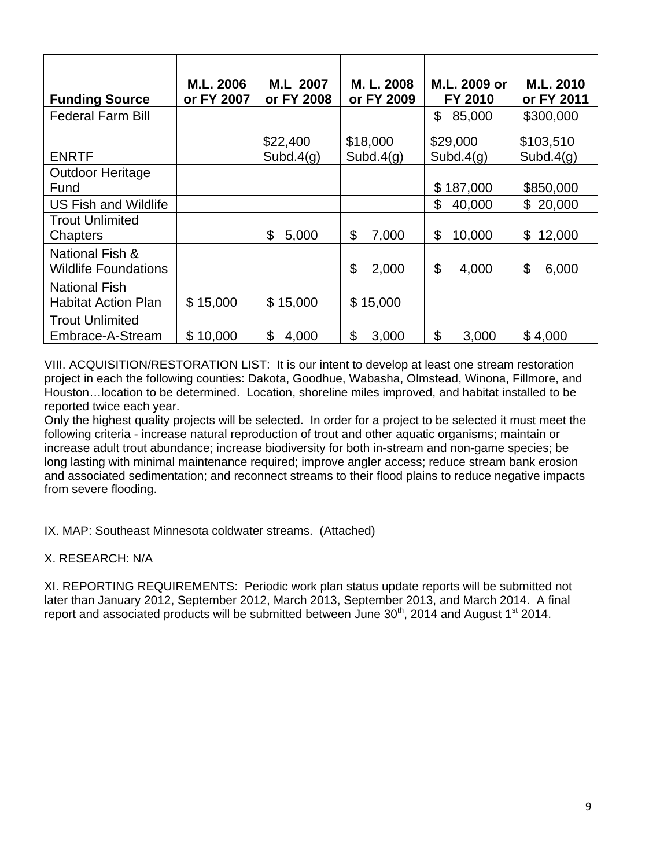| <b>Funding Source</b>                              | M.L. 2006<br>or FY 2007 | M.L 2007<br>or FY 2008 | M. L. 2008<br>or FY 2009 | M.L. 2009 or<br>FY 2010  | M.L. 2010<br>or FY 2011   |
|----------------------------------------------------|-------------------------|------------------------|--------------------------|--------------------------|---------------------------|
| <b>Federal Farm Bill</b>                           |                         |                        |                          | \$<br>85,000             | \$300,000                 |
| <b>ENRTF</b>                                       |                         | \$22,400<br>Subd.4(g)  | \$18,000<br>Subd. $4(q)$ | \$29,000<br>Subd. $4(q)$ | \$103,510<br>Subd. $4(q)$ |
| <b>Outdoor Heritage</b><br>Fund                    |                         |                        |                          | \$187,000                | \$850,000                 |
| <b>US Fish and Wildlife</b>                        |                         |                        |                          | \$<br>40,000             | \$20,000                  |
| <b>Trout Unlimited</b><br><b>Chapters</b>          |                         | \$<br>5,000            | 7,000<br>\$              | 10,000<br>\$             | 12,000<br>\$              |
| National Fish &<br><b>Wildlife Foundations</b>     |                         |                        | \$<br>2,000              | \$<br>4,000              | \$<br>6,000               |
| <b>National Fish</b><br><b>Habitat Action Plan</b> | \$15,000                | \$15,000               | \$15,000                 |                          |                           |
| <b>Trout Unlimited</b><br>Embrace-A-Stream         | \$10,000                | \$<br>4,000            | \$<br>3,000              | \$<br>3,000              | \$4,000                   |

VIII. ACQUISITION/RESTORATION LIST: It is our intent to develop at least one stream restoration project in each the following counties: Dakota, Goodhue, Wabasha, Olmstead, Winona, Fillmore, and Houston…location to be determined. Location, shoreline miles improved, and habitat installed to be reported twice each year.

Only the highest quality projects will be selected. In order for a project to be selected it must meet the following criteria - increase natural reproduction of trout and other aquatic organisms; maintain or increase adult trout abundance; increase biodiversity for both in-stream and non-game species; be long lasting with minimal maintenance required; improve angler access; reduce stream bank erosion and associated sedimentation; and reconnect streams to their flood plains to reduce negative impacts from severe flooding.

IX. MAP: Southeast Minnesota coldwater streams. (Attached)

X. RESEARCH: N/A

XI. REPORTING REQUIREMENTS: Periodic work plan status update reports will be submitted not later than January 2012, September 2012, March 2013, September 2013, and March 2014. A final report and associated products will be submitted between June  $30<sup>th</sup>$ , 2014 and August 1<sup>st</sup> 2014.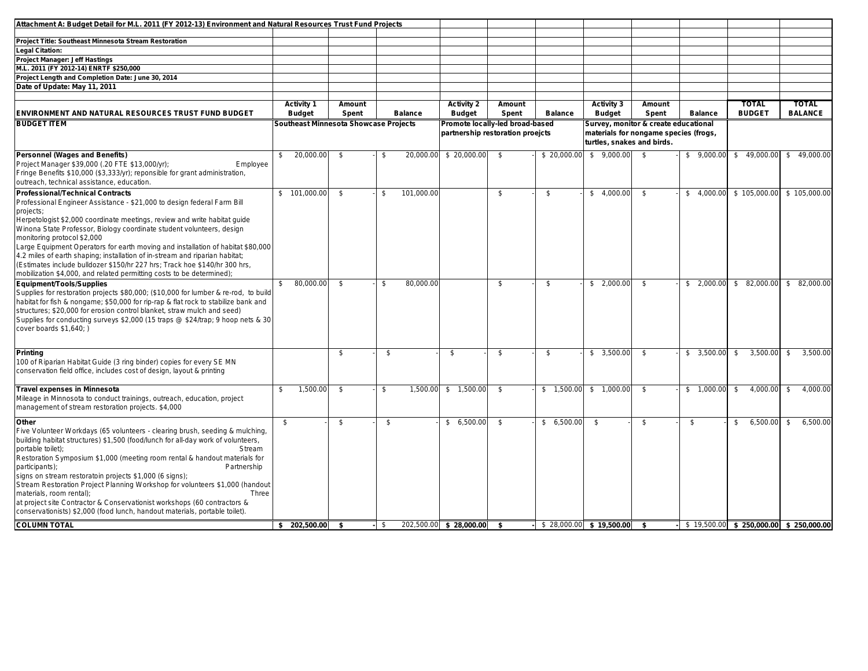| Attachment A: Budget Detail for M.L. 2011 (FY 2012-13) Environment and Natural Resources Trust Fund Projects                                                                                                                                                                                                                                                                                                                                                                                                                                                                                                                                                       |                                       |                 |      |                |                                    |                                                                     |                |                                    |                                                                                                             |                |                               |                                                  |
|--------------------------------------------------------------------------------------------------------------------------------------------------------------------------------------------------------------------------------------------------------------------------------------------------------------------------------------------------------------------------------------------------------------------------------------------------------------------------------------------------------------------------------------------------------------------------------------------------------------------------------------------------------------------|---------------------------------------|-----------------|------|----------------|------------------------------------|---------------------------------------------------------------------|----------------|------------------------------------|-------------------------------------------------------------------------------------------------------------|----------------|-------------------------------|--------------------------------------------------|
| Project Title: Southeast Minnesota Stream Restoration                                                                                                                                                                                                                                                                                                                                                                                                                                                                                                                                                                                                              |                                       |                 |      |                |                                    |                                                                     |                |                                    |                                                                                                             |                |                               |                                                  |
| <b>Legal Citation:</b>                                                                                                                                                                                                                                                                                                                                                                                                                                                                                                                                                                                                                                             |                                       |                 |      |                |                                    |                                                                     |                |                                    |                                                                                                             |                |                               |                                                  |
| Project Manager: Jeff Hastings                                                                                                                                                                                                                                                                                                                                                                                                                                                                                                                                                                                                                                     |                                       |                 |      |                |                                    |                                                                     |                |                                    |                                                                                                             |                |                               |                                                  |
| M.L. 2011 (FY 2012-14) ENRTF \$250,000                                                                                                                                                                                                                                                                                                                                                                                                                                                                                                                                                                                                                             |                                       |                 |      |                |                                    |                                                                     |                |                                    |                                                                                                             |                |                               |                                                  |
| Project Length and Completion Date: June 30, 2014                                                                                                                                                                                                                                                                                                                                                                                                                                                                                                                                                                                                                  |                                       |                 |      |                |                                    |                                                                     |                |                                    |                                                                                                             |                |                               |                                                  |
| Date of Update: May 11, 2011                                                                                                                                                                                                                                                                                                                                                                                                                                                                                                                                                                                                                                       |                                       |                 |      |                |                                    |                                                                     |                |                                    |                                                                                                             |                |                               |                                                  |
|                                                                                                                                                                                                                                                                                                                                                                                                                                                                                                                                                                                                                                                                    |                                       |                 |      |                |                                    |                                                                     |                |                                    |                                                                                                             |                |                               |                                                  |
| ENVIRONMENT AND NATURAL RESOURCES TRUST FUND BUDGET                                                                                                                                                                                                                                                                                                                                                                                                                                                                                                                                                                                                                | <b>Activity 1</b><br><b>Budget</b>    | Amount<br>Spent |      | <b>Balance</b> | <b>Activity 2</b><br><b>Budget</b> | Amount<br>Spent                                                     | <b>Balance</b> | <b>Activity 3</b><br><b>Budget</b> | Amount<br>Spent                                                                                             | <b>Balance</b> | <b>TOTAL</b><br><b>BUDGET</b> | <b>TOTAL</b><br><b>BALANCE</b>                   |
| <b>BUDGET ITEM</b>                                                                                                                                                                                                                                                                                                                                                                                                                                                                                                                                                                                                                                                 | Southeast Minnesota Showcase Projects |                 |      |                |                                    | Promote locally-led broad-based<br>partnership restoration proejcts |                |                                    | Survey, monitor & create educational<br>materials for nongame species (frogs,<br>turtles, snakes and birds. |                |                               |                                                  |
| <b>Personnel (Wages and Benefits)</b><br>Project Manager \$39,000 (.20 FTE \$13,000/yr);<br>Employee<br>Fringe Benefits \$10,000 (\$3,333/yr); reponsible for grant administration,<br>outreach, technical assistance, education.                                                                                                                                                                                                                                                                                                                                                                                                                                  | 20,000.00<br>\$                       | \$              | \$   |                | 20,000.00 \$ 20,000.00             | \$                                                                  | \$ 20,000.00   | \$9,000.00                         | - \$                                                                                                        | \$9,000.00     | \$49,000.00                   | \$49,000.00                                      |
| <b>Professional/Technical Contracts</b><br>Professional Engineer Assistance - \$21,000 to design federal Farm Bill<br>projects;<br>Herpetologist \$2,000 coordinate meetings, review and write habitat guide<br>Winona State Professor, Biology coordinate student volunteers, design<br>monitoring protocol \$2,000<br>Large Equipment Operators for earth moving and installation of habitat \$80,000<br>4.2 miles of earth shaping; installation of in-stream and riparian habitat;<br>(Estimates include bulldozer \$150/hr 227 hrs; Track hoe \$140/hr 300 hrs,<br>mobilization \$4,000, and related permitting costs to be determined);                      | \$101,000.00]                         | \$              | \$   | 101,000.00     |                                    | \$                                                                  | \$             | \$4,000.00                         | \$                                                                                                          | \$4,000.00     | \$105,000.00                  | \$105,000.00                                     |
| Equipment/Tools/Supplies<br>Supplies for restoration projects \$80,000; (\$10,000 for lumber & re-rod, to build<br>habitat for fish & nongame; \$50,000 for rip-rap & flat rock to stabilize bank and<br>structures; \$20,000 for erosion control blanket, straw mulch and seed)<br>Supplies for conducting surveys \$2,000 (15 traps @ \$24/trap; 9 hoop nets & 30<br>cover boards \$1,640;)                                                                                                                                                                                                                                                                      | \$<br>80,000.00                       | \$              | \$   | 80,000.00      |                                    | \$                                                                  | \$             | \$2,000.00                         | \$                                                                                                          | \$2,000.00     | \$82,000.00                   | \$82,000.00                                      |
| Printing<br>100 of Riparian Habitat Guide (3 ring binder) copies for every SE MN<br>conservation field office, includes cost of design, layout & printing                                                                                                                                                                                                                                                                                                                                                                                                                                                                                                          |                                       | \$              | \$   |                | \$                                 | \$                                                                  | \$             | \$3,500.00                         | \$                                                                                                          | \$3,500.00     | \$<br>3,500.00                | \$<br>3,500.00                                   |
| <b>Travel expenses in Minnesota</b><br>Mileage in Minnosota to conduct trainings, outreach, education, project<br>management of stream restoration projects. \$4,000                                                                                                                                                                                                                                                                                                                                                                                                                                                                                               | 1,500.00<br>\$                        | \$              | \$   | 1,500.00       | \$1,500.00                         | \$                                                                  |                | $$1,500.00$ $$1,000.00$            | - \$                                                                                                        | \$1,000.00     | 4,000.00<br>\$                | 4,000.00<br>\$                                   |
| Other<br>Five Volunteer Workdays (65 volunteers - clearing brush, seeding & mulching,<br>building habitat structures) \$1,500 (food/lunch for all-day work of volunteers,<br>portable toilet);<br>Stream<br>Restoration Symposium \$1,000 (meeting room rental & handout materials for<br>Partnership<br>participants);<br>signs on stream restoratoin projects \$1,000 (6 signs);<br>Stream Restoration Project Planning Workshop for volunteers \$1,000 (handout<br>materials, room rental);<br>Three<br>at project site Contractor & Conservationist workshops (60 contractors &<br>conservationists) \$2,000 (food lunch, handout materials, portable toilet). | \$                                    | \$              | \$   |                | \$6,500.00                         | \$                                                                  | \$6,500.00     | \$                                 | \$                                                                                                          | \$             | 6,500.00<br>S.                | \$<br>6,500.00                                   |
| <b>COLUMN TOTAL</b>                                                                                                                                                                                                                                                                                                                                                                                                                                                                                                                                                                                                                                                | $$202,500.00$ \ \$                    |                 | - \$ |                | 202,500.00 \$ 28,000.00 \$         |                                                                     |                | $$28,000.00$ \$ 19,500.00 \$       |                                                                                                             |                |                               | $$19.500.00 \quad $250.000.00 \quad $250.000.00$ |